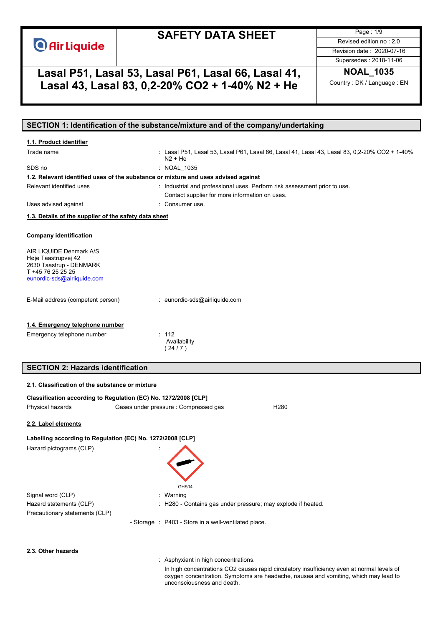# **SAFETY DATA SHEET**

Page : 1/9 Revised edition no : 2.0 Revision date : 2020-07-16 Supersedes : 2018-11-06

# **Lasal P51, Lasal 53, Lasal P61, Lasal 66, Lasal 41, NOAL\_1035 Lasal 43, Lasal 83, 0,2-20% CO2 + 1-40% N2 + He** Country : DK / Language : EN

# **SECTION 1: Identification of the substance/mixture and of the company/undertaking** Trade name : Lasal P51, Lasal 53, Lasal P61, Lasal 66, Lasal 41, Lasal 43, Lasal 83, 0,2-20% CO2 + 1-40% N2 + He SDS no : NOAL\_1035 Relevant identified uses **industrial and professional uses**. Perform risk assessment prior to use. Contact supplier for more information on uses. Uses advised against **in the Consumer use** consumer use. **Company identification** AIR LIQUIDE Denmark A/S Høje Taastrupvej 42 2630 Taastrup - DENMARK T +45 76 25 25 25 [eunordic-sds@airliquide.com](mailto:eunordic-sds@airliquide.com) E-Mail address (competent person) : eunordic-sds@airliquide.com Emergency telephone number : 112 Availability  $(24/7)$ **SECTION 2: Hazards identification Classification according to Regulation (EC) No. 1272/2008 [CLP]** Physical hazards Gases under pressure : Compressed gas H280 **Labelling according to Regulation (EC) No. 1272/2008 [CLP]** Hazard pictograms (CLP) : GHS04 Signal word (CLP) : Warning Hazard statements (CLP) : H280 - Contains gas under pressure; may explode if heated. Precautionary statements (CLP) - Storage : P403 - Store in a well-ventilated place. **1.1. Product identifier 1.2. Relevant identified uses of the substance or mixture and uses advised against 1.3. Details of the supplier of the safety data sheet 1.4. Emergency telephone number 2.1. Classification of the substance or mixture 2.2. Label elements 2.3. Other hazards**

: Asphyxiant in high concentrations.

In high concentrations CO2 causes rapid circulatory insufficiency even at normal levels of oxygen concentration. Symptoms are headache, nausea and vomiting, which may lead to unconsciousness and death.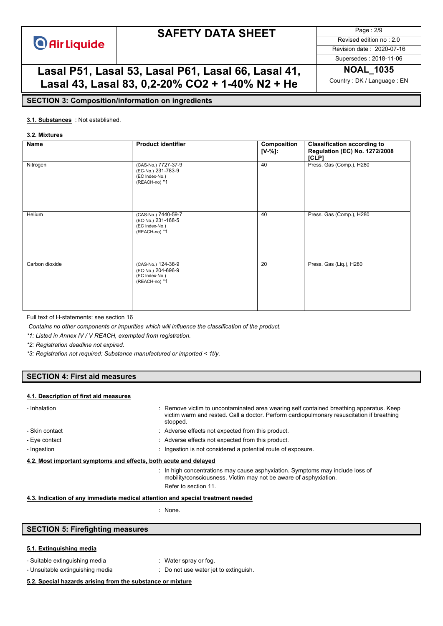# **SAFETY DATA SHEET**

Page : 2/9 Revised edition no : 2.0

Revision date : 2020-07-16 Supersedes : 2018-11-06

# **Lasal P51, Lasal 53, Lasal P61, Lasal 66, Lasal 41, NOAL\_1035 Lasal 43, Lasal 83, 0,2-20% CO2 + 1-40% N2 + He** Country : DK / Language : EN

### **SECTION 3: Composition/information on ingredients**

### : Not established. **3.1. Substances**

#### **3.2. Mixtures**

| Name           | <b>Product identifier</b>                                                    | Composition<br>$[V-%]:$ | <b>Classification according to</b><br><b>Regulation (EC) No. 1272/2008</b><br>[CLP] |
|----------------|------------------------------------------------------------------------------|-------------------------|-------------------------------------------------------------------------------------|
| Nitrogen       | (CAS-No.) 7727-37-9<br>(EC-No.) 231-783-9<br>(EC Index-No.)<br>(REACH-no) *1 | 40                      | Press. Gas (Comp.), H280                                                            |
| Helium         | (CAS-No.) 7440-59-7<br>(EC-No.) 231-168-5<br>(EC Index-No.)<br>(REACH-no) *1 | 40                      | Press. Gas (Comp.), H280                                                            |
| Carbon dioxide | (CAS-No.) 124-38-9<br>(EC-No.) 204-696-9<br>(EC Index-No.)<br>(REACH-no) *1  | 20                      | Press. Gas (Liq.), H280                                                             |

Full text of H-statements: see section 16

*Contains no other components or impurities which will influence the classification of the product.*

*\*1: Listed in Annex IV / V REACH, exempted from registration.*

*\*2: Registration deadline not expired.*

*\*3: Registration not required: Substance manufactured or imported < 1t/y.*

### **SECTION 4: First aid measures**

#### **4.1. Description of first aid measures**

| - Inhalation                                                                    | : Remove victim to uncontaminated area wearing self contained breathing apparatus. Keep<br>victim warm and rested. Call a doctor. Perform cardiopulmonary resuscitation if breathing<br>stopped. |
|---------------------------------------------------------------------------------|--------------------------------------------------------------------------------------------------------------------------------------------------------------------------------------------------|
| - Skin contact                                                                  | : Adverse effects not expected from this product.                                                                                                                                                |
| - Eye contact                                                                   | : Adverse effects not expected from this product.                                                                                                                                                |
| - Ingestion                                                                     | : Ingestion is not considered a potential route of exposure.                                                                                                                                     |
| 4.2. Most important symptoms and effects, both acute and delayed                |                                                                                                                                                                                                  |
|                                                                                 | : In high concentrations may cause asphyxiation. Symptoms may include loss of<br>mobility/consciousness. Victim may not be aware of asphyxiation.                                                |
|                                                                                 | Refer to section 11.                                                                                                                                                                             |
| 4.3. Indication of any immediate medical attention and special treatment needed |                                                                                                                                                                                                  |

: None.

## **SECTION 5: Firefighting measures**

### **5.1. Extinguishing media**

- Suitable extinguishing media : Water spray or fog.
- Unsuitable extinguishing media : Do not use water jet to extinguish.
- -

#### **5.2. Special hazards arising from the substance or mixture**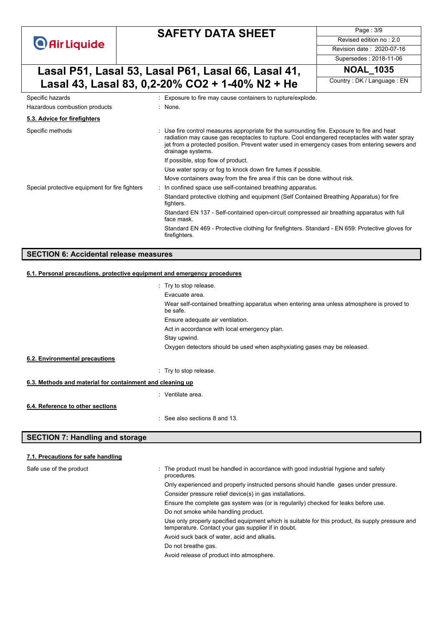# **SAFETY DATA SHEET**

Revised edition no : 2.0 Revision date : 2020-07-16

Page : 3/9

### Supersedes : 2018-11-06

# **Lasal P51, Lasal 53, Lasal P61, Lasal 66, Lasal 41,** NOAL\_1035<br> **Lasal 43, Lasal 83, 0, 3, 20%, CO3 + 4, 40%, N3 + Ho Lasal 43, Lasal 83, 0,2-20% CO2 + 1-40% N2 + He**

| Specific hazards                               | : Exposure to fire may cause containers to rupture/explode.                                                                                                                                                                                                                                                       |
|------------------------------------------------|-------------------------------------------------------------------------------------------------------------------------------------------------------------------------------------------------------------------------------------------------------------------------------------------------------------------|
| Hazardous combustion products                  | : None.                                                                                                                                                                                                                                                                                                           |
| 5.3. Advice for firefighters                   |                                                                                                                                                                                                                                                                                                                   |
| Specific methods                               | : Use fire control measures appropriate for the surrounding fire. Exposure to fire and heat<br>radiation may cause gas receptacles to rupture. Cool endangered receptacles with water spray<br>jet from a protected position. Prevent water used in emergency cases from entering sewers and<br>drainage systems. |
|                                                | If possible, stop flow of product.                                                                                                                                                                                                                                                                                |
|                                                | Use water spray or fog to knock down fire fumes if possible.                                                                                                                                                                                                                                                      |
|                                                | Move containers away from the fire area if this can be done without risk.                                                                                                                                                                                                                                         |
| Special protective equipment for fire fighters | : In confined space use self-contained breathing apparatus.                                                                                                                                                                                                                                                       |
|                                                | Standard protective clothing and equipment (Self Contained Breathing Apparatus) for fire<br>fighters.                                                                                                                                                                                                             |
|                                                | Standard EN 137 - Self-contained open-circuit compressed air breathing apparatus with full<br>face mask.                                                                                                                                                                                                          |
|                                                | Standard EN 469 - Protective clothing for firefighters. Standard - EN 659: Protective gloves for<br>firefighters.                                                                                                                                                                                                 |
|                                                |                                                                                                                                                                                                                                                                                                                   |

#### **SECTION 6: Accidental release measures**

### **6.1. Personal precautions, protective equipment and emergency procedures**

|                                                           | : Try to stop release.                                                                                |
|-----------------------------------------------------------|-------------------------------------------------------------------------------------------------------|
|                                                           | Evacuate area.                                                                                        |
|                                                           | Wear self-contained breathing apparatus when entering area unless atmosphere is proved to<br>be safe. |
|                                                           | Ensure adequate air ventilation.                                                                      |
|                                                           | Act in accordance with local emergency plan.                                                          |
|                                                           | Stay upwind.                                                                                          |
|                                                           | Oxygen detectors should be used when asphyxiating gases may be released.                              |
| 6.2. Environmental precautions                            |                                                                                                       |
|                                                           | : Try to stop release.                                                                                |
| 6.3. Methods and material for containment and cleaning up |                                                                                                       |
|                                                           | : Ventilate area.                                                                                     |
| 6.4. Reference to other sections                          |                                                                                                       |
|                                                           | : See also sections 8 and 13.                                                                         |

### **SECTION 7: Handling and storage**

#### **7.1. Precautions for safe handling**

Safe use of the product

| : The product must be handled in accordance with good industrial hygiene and safety<br>procedures.                                                       |
|----------------------------------------------------------------------------------------------------------------------------------------------------------|
| Only experienced and properly instructed persons should handle gases under pressure.                                                                     |
| Consider pressure relief device(s) in gas installations.                                                                                                 |
| Ensure the complete gas system was (or is regularily) checked for leaks before use.                                                                      |
| Do not smoke while handling product.                                                                                                                     |
| Use only properly specified equipment which is suitable for this product, its supply pressure and<br>temperature. Contact your gas supplier if in doubt. |
| Avoid suck back of water, acid and alkalis.                                                                                                              |
| Do not breathe gas.                                                                                                                                      |
| Avoid release of product into atmosphere.                                                                                                                |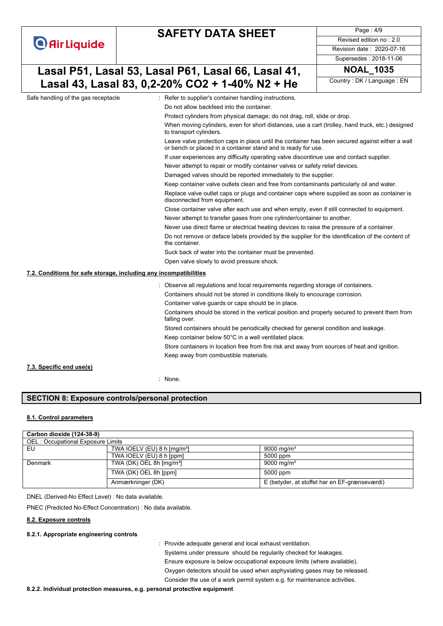|                                                                   |                                                     | <b>SAFETY DATA SHEET</b>                                                                                                                                         | Page: 4/9                  |
|-------------------------------------------------------------------|-----------------------------------------------------|------------------------------------------------------------------------------------------------------------------------------------------------------------------|----------------------------|
| <b>O</b> Air Liquide                                              |                                                     |                                                                                                                                                                  | Revised edition no: 2.0    |
|                                                                   |                                                     |                                                                                                                                                                  | Revision date: 2020-07-16  |
|                                                                   |                                                     |                                                                                                                                                                  | Supersedes: 2018-11-06     |
|                                                                   | Lasal P51, Lasal 53, Lasal P61, Lasal 66, Lasal 41, | <b>NOAL 1035</b>                                                                                                                                                 |                            |
|                                                                   |                                                     | Lasal 43, Lasal 83, 0,2-20% CO2 + 1-40% N2 + He                                                                                                                  | Country: DK / Language: EN |
| Safe handling of the gas receptacle                               |                                                     | : Refer to supplier's container handling instructions.                                                                                                           |                            |
|                                                                   |                                                     | Do not allow backfeed into the container.                                                                                                                        |                            |
|                                                                   |                                                     | Protect cylinders from physical damage; do not drag, roll, slide or drop.                                                                                        |                            |
|                                                                   |                                                     | When moving cylinders, even for short distances, use a cart (trolley, hand truck, etc.) designed<br>to transport cylinders.                                      |                            |
|                                                                   |                                                     | Leave valve protection caps in place until the container has been secured against either a wall<br>or bench or placed in a container stand and is ready for use. |                            |
|                                                                   |                                                     | If user experiences any difficulty operating valve discontinue use and contact supplier.                                                                         |                            |
|                                                                   |                                                     | Never attempt to repair or modify container valves or safety relief devices.                                                                                     |                            |
|                                                                   |                                                     | Damaged valves should be reported immediately to the supplier.                                                                                                   |                            |
|                                                                   |                                                     | Keep container valve outlets clean and free from contaminants particularly oil and water.                                                                        |                            |
|                                                                   |                                                     | Replace valve outlet caps or plugs and container caps where supplied as soon as container is<br>disconnected from equipment.                                     |                            |
|                                                                   |                                                     | Close container valve after each use and when empty, even if still connected to equipment.                                                                       |                            |
|                                                                   |                                                     | Never attempt to transfer gases from one cylinder/container to another.                                                                                          |                            |
|                                                                   |                                                     | Never use direct flame or electrical heating devices to raise the pressure of a container.                                                                       |                            |
|                                                                   |                                                     | Do not remove or deface labels provided by the supplier for the identification of the content of<br>the container.                                               |                            |
|                                                                   |                                                     | Suck back of water into the container must be prevented.                                                                                                         |                            |
|                                                                   |                                                     | Open valve slowly to avoid pressure shock.                                                                                                                       |                            |
| 7.2. Conditions for safe storage, including any incompatibilities |                                                     |                                                                                                                                                                  |                            |
|                                                                   |                                                     | : Observe all regulations and local requirements regarding storage of containers.                                                                                |                            |
|                                                                   |                                                     | Containers should not be stored in conditions likely to encourage corrosion.                                                                                     |                            |
|                                                                   |                                                     | Container valve guards or caps should be in place.                                                                                                               |                            |
|                                                                   |                                                     | Containers should be stored in the vertical position and properly secured to prevent them from<br>falling over.                                                  |                            |
|                                                                   |                                                     | Stored containers should be periodically checked for general condition and leakage.                                                                              |                            |
|                                                                   |                                                     | Keep container below 50°C in a well ventilated place.                                                                                                            |                            |
|                                                                   |                                                     | Store containers in location free from fire risk and away from sources of heat and ignition.                                                                     |                            |
|                                                                   |                                                     | Keep away from combustible materials.                                                                                                                            |                            |
| 7.3. Specific end use(s)                                          |                                                     |                                                                                                                                                                  |                            |
|                                                                   |                                                     | : None.                                                                                                                                                          |                            |
|                                                                   |                                                     |                                                                                                                                                                  |                            |

### **SECTION 8: Exposure controls/personal protection**

#### **8.1. Control parameters**

| Carbon dioxide (124-38-9)         |                                          |                                               |  |
|-----------------------------------|------------------------------------------|-----------------------------------------------|--|
| OEL: Occupational Exposure Limits |                                          |                                               |  |
| EU                                | TWA IOELV (EU) 8 h $\text{[mg/m³]}$      | 9000 mg/m <sup>3</sup>                        |  |
|                                   | TWA IOELV (EU) 8 h [ppm]                 | 5000 ppm                                      |  |
| Denmark                           | TWA (DK) OEL 8h $\text{[mq/m}^3\text{]}$ | 9000 mg/m <sup>3</sup>                        |  |
|                                   | TWA (DK) OEL 8h [ppm]                    | 5000 ppm                                      |  |
|                                   | Anmærkninger (DK)                        | E (betyder, at stoffet har en EF-grænseværdi) |  |

DNEL (Derived-No Effect Level) : No data available.

PNEC (Predicted No-Effect Concentration) : No data available.

#### **8.2. Exposure controls**

## **8.2.1. Appropriate engineering controls**

: Provide adequate general and local exhaust ventilation.

Systems under pressure should be regularily checked for leakages.

Ensure exposure is below occupational exposure limits (where available).

Oxygen detectors should be used when asphyxiating gases may be released.

Consider the use of a work permit system e.g. for maintenance activities.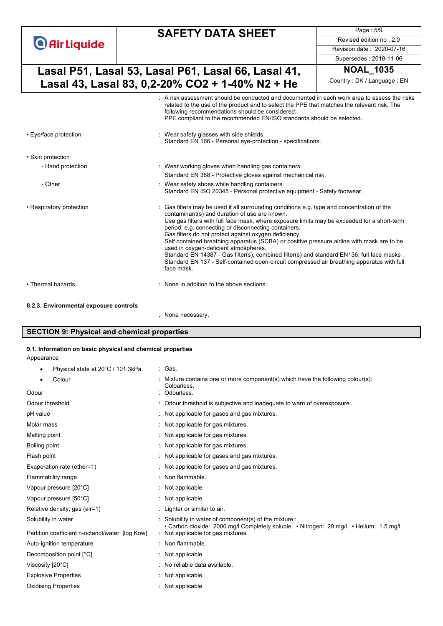|                          | <b>SAFETY DATA SHEET</b>                                                                                                                                                                                                                                                                                                                                                                                                                                                                                                                                                                                                                                                                                   | Page: 5/9                  |
|--------------------------|------------------------------------------------------------------------------------------------------------------------------------------------------------------------------------------------------------------------------------------------------------------------------------------------------------------------------------------------------------------------------------------------------------------------------------------------------------------------------------------------------------------------------------------------------------------------------------------------------------------------------------------------------------------------------------------------------------|----------------------------|
| <b>O</b> Air Liquide     |                                                                                                                                                                                                                                                                                                                                                                                                                                                                                                                                                                                                                                                                                                            | Revised edition no: 2.0    |
|                          |                                                                                                                                                                                                                                                                                                                                                                                                                                                                                                                                                                                                                                                                                                            | Revision date: 2020-07-16  |
|                          |                                                                                                                                                                                                                                                                                                                                                                                                                                                                                                                                                                                                                                                                                                            | Supersedes: 2018-11-06     |
|                          | Lasal P51, Lasal 53, Lasal P61, Lasal 66, Lasal 41,                                                                                                                                                                                                                                                                                                                                                                                                                                                                                                                                                                                                                                                        | <b>NOAL 1035</b>           |
|                          | Lasal 43, Lasal 83, 0,2-20% CO2 + 1-40% N2 + He                                                                                                                                                                                                                                                                                                                                                                                                                                                                                                                                                                                                                                                            | Country: DK / Language: EN |
|                          | A risk assessment should be conducted and documented in each work area to assess the risks<br>related to the use of the product and to select the PPE that matches the relevant risk. The<br>following recommendations should be considered:<br>PPE compliant to the recommended EN/ISO standards should be selected.                                                                                                                                                                                                                                                                                                                                                                                      |                            |
| • Eye/face protection    | Wear safety glasses with side shields.<br>Standard EN 166 - Personal eye-protection - specifications.                                                                                                                                                                                                                                                                                                                                                                                                                                                                                                                                                                                                      |                            |
| • Skin protection        |                                                                                                                                                                                                                                                                                                                                                                                                                                                                                                                                                                                                                                                                                                            |                            |
| - Hand protection        | : Wear working gloves when handling gas containers.                                                                                                                                                                                                                                                                                                                                                                                                                                                                                                                                                                                                                                                        |                            |
|                          | Standard EN 388 - Protective gloves against mechanical risk.                                                                                                                                                                                                                                                                                                                                                                                                                                                                                                                                                                                                                                               |                            |
| - Other                  | : Wear safety shoes while handling containers.<br>Standard EN ISO 20345 - Personal protective equipment - Safety footwear.                                                                                                                                                                                                                                                                                                                                                                                                                                                                                                                                                                                 |                            |
| • Respiratory protection | Gas filters may be used if all surrounding conditions e.g. type and concentration of the<br>contaminant(s) and duration of use are known.<br>Use gas filters with full face mask, where exposure limits may be exceeded for a short-term<br>period, e.g. connecting or disconnecting containers.<br>Gas filters do not protect against oxygen deficiency.<br>Self contained breathing apparatus (SCBA) or positive pressure airline with mask are to be<br>used in oxygen-deficient atmospheres.<br>Standard EN 14387 - Gas filter(s), combined filter(s) and standard EN136, full face masks.<br>Standard EN 137 - Self-contained open-circuit compressed air breathing apparatus with full<br>face mask. |                            |
| • Thermal hazards        | None in addition to the above sections.                                                                                                                                                                                                                                                                                                                                                                                                                                                                                                                                                                                                                                                                    |                            |

### **8.2.3. Environmental exposure controls**

: None necessary.

# **SECTION 9: Physical and chemical properties**

### **9.1. Information on basic physical and chemical properties**

Appearance

| Physical state at 20°C / 101.3kPa               | : Gas.                                                                                                                                         |
|-------------------------------------------------|------------------------------------------------------------------------------------------------------------------------------------------------|
| Colour                                          | Mixture contains one or more component(s) which have the following colour(s):<br>Colourless.                                                   |
| Odour                                           | Odourless.                                                                                                                                     |
| Odour threshold                                 | Odour threshold is subjective and inadequate to warn of overexposure.                                                                          |
| pH value                                        | Not applicable for gases and gas mixtures.                                                                                                     |
| Molar mass                                      | Not applicable for gas mixtures.                                                                                                               |
| Melting point                                   | Not applicable for gas mixtures.                                                                                                               |
| Boiling point                                   | Not applicable for gas mixtures.                                                                                                               |
| Flash point                                     | Not applicable for gases and gas mixtures.                                                                                                     |
| Evaporation rate (ether=1)                      | Not applicable for gases and gas mixtures.                                                                                                     |
| Flammability range                              | Non flammable.                                                                                                                                 |
| Vapour pressure [20°C]                          | Not applicable.                                                                                                                                |
| Vapour pressure [50°C]                          | Not applicable.                                                                                                                                |
| Relative density, gas (air=1)                   | : Lighter or similar to air.                                                                                                                   |
| Solubility in water                             | Solubility in water of component(s) of the mixture :<br>• Carbon dioxide: 2000 mg/l Completely soluble. • Nitrogen: 20 mg/l • Helium: 1.5 mg/l |
| Partition coefficient n-octanol/water [log Kow] | : Not applicable for gas mixtures.                                                                                                             |
| Auto-ignition temperature                       | Non flammable.                                                                                                                                 |
| Decomposition point [°C]                        | Not applicable.                                                                                                                                |
| Viscosity [20°C]                                | No reliable data available.                                                                                                                    |
| <b>Explosive Properties</b>                     | Not applicable.                                                                                                                                |
| <b>Oxidising Properties</b>                     | Not applicable.                                                                                                                                |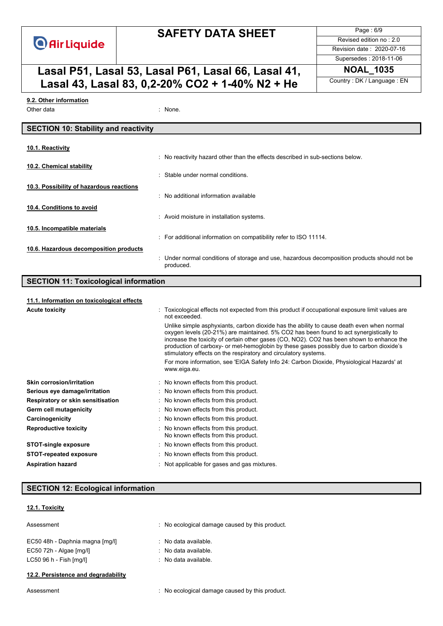

# **SAFETY DATA SHEET**

**Lasal P51, Lasal 53, Lasal P61, Lasal 66, Lasal 41,** NOAL\_1035<br> **Lasal 43, Lasal 83, 0, 3, 20%, CO3 + 4, 40%, N3 + Ho Lasal 43, Lasal 83, 0,2-20% CO2 + 1-40% N2 + He** 

Page : 6/9 Revised edition no : 2.0 Revision date : 2020-07-16 Supersedes : 2018-11-06

#### Other data : None. **9.2. Other information**

## **SECTION 10: Stability and reactivity**

| 10.1. Reactivity                         |                                                                                                           |
|------------------------------------------|-----------------------------------------------------------------------------------------------------------|
|                                          | : No reactivity hazard other than the effects described in sub-sections below.                            |
| 10.2. Chemical stability                 | : Stable under normal conditions.                                                                         |
| 10.3. Possibility of hazardous reactions |                                                                                                           |
|                                          | $\therefore$ No additional information available                                                          |
| 10.4. Conditions to avoid                |                                                                                                           |
|                                          | : Avoid moisture in installation systems.                                                                 |
| 10.5. Incompatible materials             |                                                                                                           |
|                                          | : For additional information on compatibility refer to ISO 11114.                                         |
| 10.6. Hazardous decomposition products   |                                                                                                           |
|                                          | : Under normal conditions of storage and use, hazardous decomposition products should not be<br>produced. |

## **SECTION 11: Toxicological information**

|                     |  | 11.1. Information on toxicological effects |  |
|---------------------|--|--------------------------------------------|--|
| A contra Arrestados |  |                                            |  |

| <b>Acute toxicity</b>             | Toxicological effects not expected from this product if occupational exposure limit values are<br>not exceeded.                                                                                                                                                                                                                                                                                                                                 |
|-----------------------------------|-------------------------------------------------------------------------------------------------------------------------------------------------------------------------------------------------------------------------------------------------------------------------------------------------------------------------------------------------------------------------------------------------------------------------------------------------|
|                                   | Unlike simple asphyxiants, carbon dioxide has the ability to cause death even when normal<br>oxygen levels (20-21%) are maintained. 5% CO2 has been found to act synergistically to<br>increase the toxicity of certain other gases (CO, NO2). CO2 has been shown to enhance the<br>production of carboxy- or met-hemoglobin by these gases possibly due to carbon dioxide's<br>stimulatory effects on the respiratory and circulatory systems. |
|                                   | For more information, see 'EIGA Safety Info 24: Carbon Dioxide, Physiological Hazards' at<br>www.eiga.eu.                                                                                                                                                                                                                                                                                                                                       |
| <b>Skin corrosion/irritation</b>  | : No known effects from this product.                                                                                                                                                                                                                                                                                                                                                                                                           |
| Serious eye damage/irritation     | : No known effects from this product.                                                                                                                                                                                                                                                                                                                                                                                                           |
| Respiratory or skin sensitisation | : No known effects from this product.                                                                                                                                                                                                                                                                                                                                                                                                           |
| Germ cell mutagenicity            | : No known effects from this product.                                                                                                                                                                                                                                                                                                                                                                                                           |
| Carcinogenicity                   | : No known effects from this product.                                                                                                                                                                                                                                                                                                                                                                                                           |
| <b>Reproductive toxicity</b>      | : No known effects from this product.<br>No known effects from this product.                                                                                                                                                                                                                                                                                                                                                                    |
| <b>STOT-single exposure</b>       | : No known effects from this product.                                                                                                                                                                                                                                                                                                                                                                                                           |
| <b>STOT-repeated exposure</b>     | : No known effects from this product.                                                                                                                                                                                                                                                                                                                                                                                                           |
| <b>Aspiration hazard</b>          | : Not applicable for gases and gas mixtures.                                                                                                                                                                                                                                                                                                                                                                                                    |

### **SECTION 12: Ecological information**

## **12.1. Toxicity**

| Assessment                          | : No ecological damage caused by this product. |
|-------------------------------------|------------------------------------------------|
| EC50 48h - Daphnia magna [mq/l]     | $\therefore$ No data available.                |
| EC50 72h - Algae [mg/l]             | $\therefore$ No data available.                |
| $LC50$ 96 h - Fish [mq/l]           | $\therefore$ No data available.                |
| 12.2. Persistence and degradability |                                                |
|                                     |                                                |

Assessment **in the conomical caused by this product.** : No ecological damage caused by this product.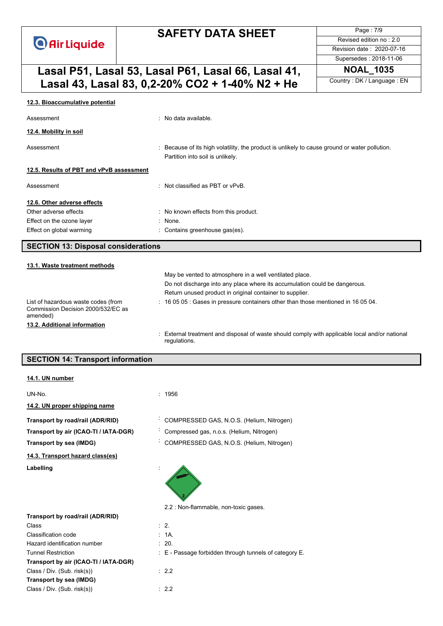# **SAFETY DATA SHEET**

Page : 7/9 Revised edition no : 2.0 Revision date : 2020-07-16 Supersedes : 2018-11-06

# **Lasal P51, Lasal 53, Lasal P61, Lasal 66, Lasal 41,** NOAL\_1035<br> **Lasal 43, Lasal 83, 0, 2, 20%, CO2 + 1, 40%, N2 + Ho Lasal 43, Lasal 83, 0,2-20% CO2 + 1-40% N2 + He**

| 12.3. Bioaccumulative potential                                                       |                                                                                                                                 |
|---------------------------------------------------------------------------------------|---------------------------------------------------------------------------------------------------------------------------------|
| Assessment                                                                            | : No data available.                                                                                                            |
| 12.4. Mobility in soil                                                                |                                                                                                                                 |
| Assessment                                                                            | Because of its high volatility, the product is unlikely to cause ground or water pollution.<br>Partition into soil is unlikely. |
| 12.5. Results of PBT and vPvB assessment                                              |                                                                                                                                 |
| Assessment                                                                            | . Not classified as PBT or vPvB                                                                                                 |
| 12.6. Other adverse effects                                                           |                                                                                                                                 |
| Other adverse effects                                                                 | : No known effects from this product.                                                                                           |
| Effect on the ozone layer                                                             | : None.                                                                                                                         |
| Effect on global warming                                                              | : Contains greenhouse gas(es).                                                                                                  |
| <b>SECTION 13: Disposal considerations</b>                                            |                                                                                                                                 |
| 13.1. Waste treatment methods                                                         |                                                                                                                                 |
|                                                                                       | May be vented to atmosphere in a well ventilated place.                                                                         |
|                                                                                       | Do not discharge into any place where its accumulation could be dangerous.                                                      |
|                                                                                       | Return unused product in original container to supplier.                                                                        |
| List of hazardous waste codes (from<br>Commission Decision 2000/532/EC as<br>amended) | 16 05 05 : Gases in pressure containers other than those mentioned in 16 05 04.                                                 |
|                                                                                       |                                                                                                                                 |
| 13.2. Additional information                                                          |                                                                                                                                 |

## **SECTION 14: Transport information**

|  | 14.1. UN number |
|--|-----------------|
|  |                 |

| UN-No.                                | : 1956                                    |
|---------------------------------------|-------------------------------------------|
| 14.2. UN proper shipping name         |                                           |
| Transport by road/rail (ADR/RID)      | COMPRESSED GAS, N.O.S. (Helium, Nitrogen) |
| Transport by air (ICAO-TI / IATA-DGR) | Compressed gas, n.o.s. (Helium, Nitrogen) |
| Transport by sea (IMDG)               | COMPRESSED GAS, N.O.S. (Helium, Nitrogen) |
| 14.3. Transport hazard class(es)      |                                           |
| Labelling                             | 2.2 : Non-flammable, non-toxic gases.     |

|                                       | 2.2 : Non-flammable, non-toxic gases.                      |
|---------------------------------------|------------------------------------------------------------|
| Transport by road/rail (ADR/RID)      |                                                            |
| Class                                 | $\therefore$ 2.                                            |
| Classification code                   | : 1A.                                                      |
| Hazard identification number          | $\therefore$ 20.                                           |
| <b>Tunnel Restriction</b>             | $\pm$ E - Passage forbidden through tunnels of category E. |
| Transport by air (ICAO-TI / IATA-DGR) |                                                            |
| Class / Div. (Sub. risk(s))           | $\therefore$ 2.2                                           |
| Transport by sea (IMDG)               |                                                            |
| Class / Div. (Sub. risk(s))           | : 2.2                                                      |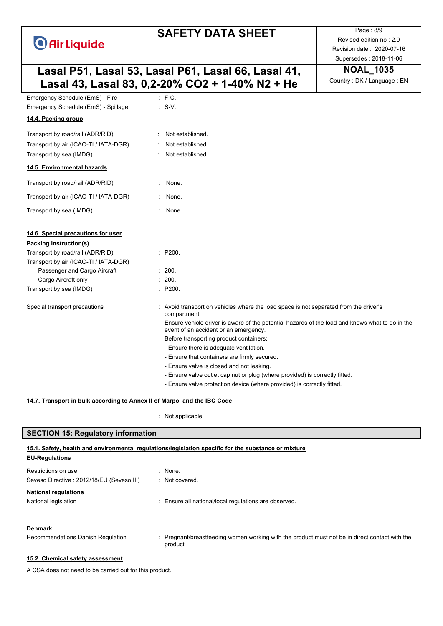# **SAFETY DATA SHEET**

Page : 8/9 Revised edition no : 2.0 Revision date : 2020-07-16

Supersedes : 2018-11-06

# **Lasal P51, Lasal 53, Lasal P61, Lasal 66, Lasal 41, NOAL\_1035 Lasal 43, Lasal 83, 0,2-20% CO2 + 1-40% N2 + He**

| Emergency Schedule (EmS) - Fire                                           | $:$ F-C.                                                                                                                                 |
|---------------------------------------------------------------------------|------------------------------------------------------------------------------------------------------------------------------------------|
| Emergency Schedule (EmS) - Spillage                                       | $: S-V.$                                                                                                                                 |
| 14.4. Packing group                                                       |                                                                                                                                          |
| Transport by road/rail (ADR/RID)                                          | Not established.                                                                                                                         |
| Transport by air (ICAO-TI / IATA-DGR)                                     | Not established.                                                                                                                         |
| Transport by sea (IMDG)                                                   | Not established.                                                                                                                         |
| 14.5. Environmental hazards                                               |                                                                                                                                          |
| Transport by road/rail (ADR/RID)                                          | None.                                                                                                                                    |
| Transport by air (ICAO-TI / IATA-DGR)                                     | None.                                                                                                                                    |
| Transport by sea (IMDG)                                                   | None.                                                                                                                                    |
| 14.6. Special precautions for user<br>Packing Instruction(s)              |                                                                                                                                          |
| Transport by road/rail (ADR/RID)<br>Transport by air (ICAO-TI / IATA-DGR) | : P200.                                                                                                                                  |
| Passenger and Cargo Aircraft                                              | : 200.                                                                                                                                   |
| Cargo Aircraft only                                                       | 200.                                                                                                                                     |
| Transport by sea (IMDG)                                                   | : P200.                                                                                                                                  |
| Special transport precautions                                             | Avoid transport on vehicles where the load space is not separated from the driver's<br>compartment.                                      |
|                                                                           | Ensure vehicle driver is aware of the potential hazards of the load and knows what to do in the<br>event of an accident or an emergency. |
|                                                                           | Before transporting product containers:                                                                                                  |
|                                                                           | - Ensure there is adequate ventilation.                                                                                                  |
|                                                                           | - Ensure that containers are firmly secured.                                                                                             |
|                                                                           | - Ensure valve is closed and not leaking.                                                                                                |
|                                                                           | - Ensure valve outlet cap nut or plug (where provided) is correctly fitted.                                                              |
|                                                                           | - Ensure valve protection device (where provided) is correctly fitted.                                                                   |
|                                                                           |                                                                                                                                          |

#### **14.7. Transport in bulk according to Annex II of Marpol and the IBC Code**

: Not applicable.

### **SECTION 15: Regulatory information**

| 15.1. Safety, health and environmental regulations/legislation specific for the substance or mixture |                                                                                                           |  |
|------------------------------------------------------------------------------------------------------|-----------------------------------------------------------------------------------------------------------|--|
| <b>EU-Regulations</b>                                                                                |                                                                                                           |  |
| Restrictions on use                                                                                  | $:$ None.                                                                                                 |  |
| Seveso Directive : 2012/18/EU (Seveso III)                                                           | $\therefore$ Not covered.                                                                                 |  |
| <b>National regulations</b>                                                                          |                                                                                                           |  |
| National legislation                                                                                 | : Ensure all national/local regulations are observed.                                                     |  |
|                                                                                                      |                                                                                                           |  |
| <b>Denmark</b>                                                                                       |                                                                                                           |  |
| Recommendations Danish Regulation                                                                    | : Pregnant/breastfeeding women working with the product must not be in direct contact with the<br>product |  |

#### **15.2. Chemical safety assessment**

A CSA does not need to be carried out for this product.